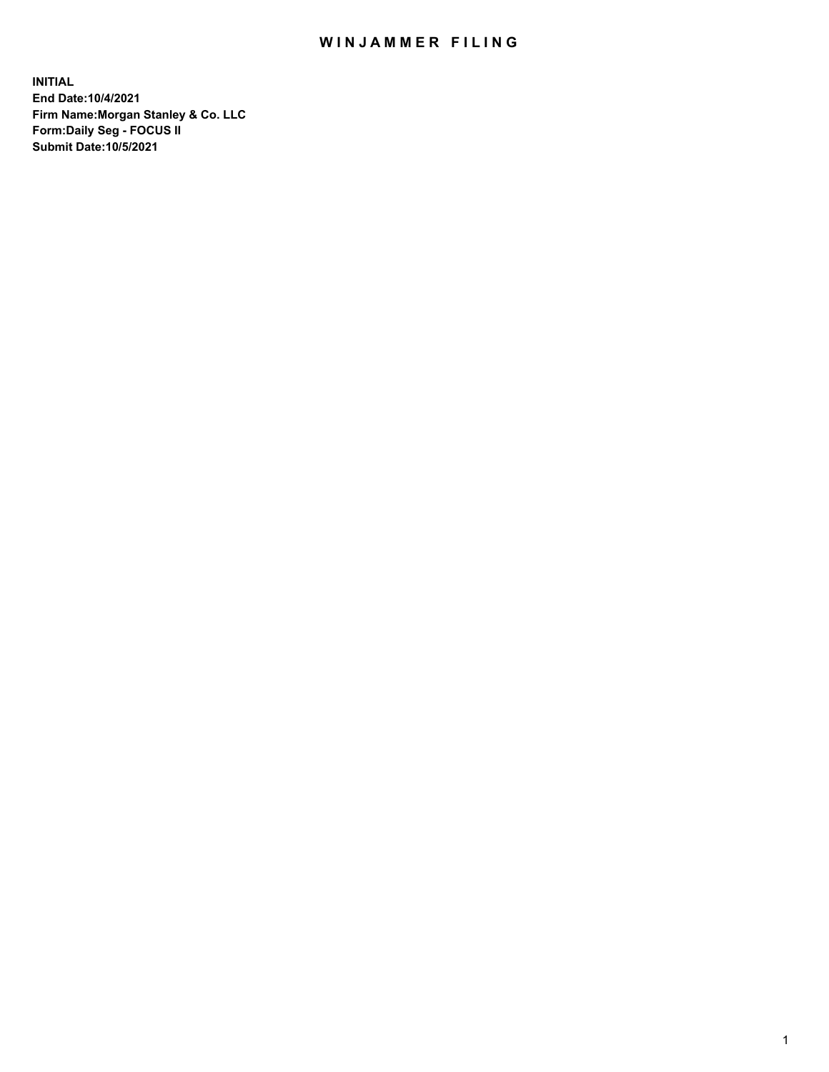# WIN JAMMER FILING

**INITIAL End Date:10/4/2021 Firm Name:Morgan Stanley & Co. LLC Form:Daily Seg - FOCUS II Submit Date:10/5/2021**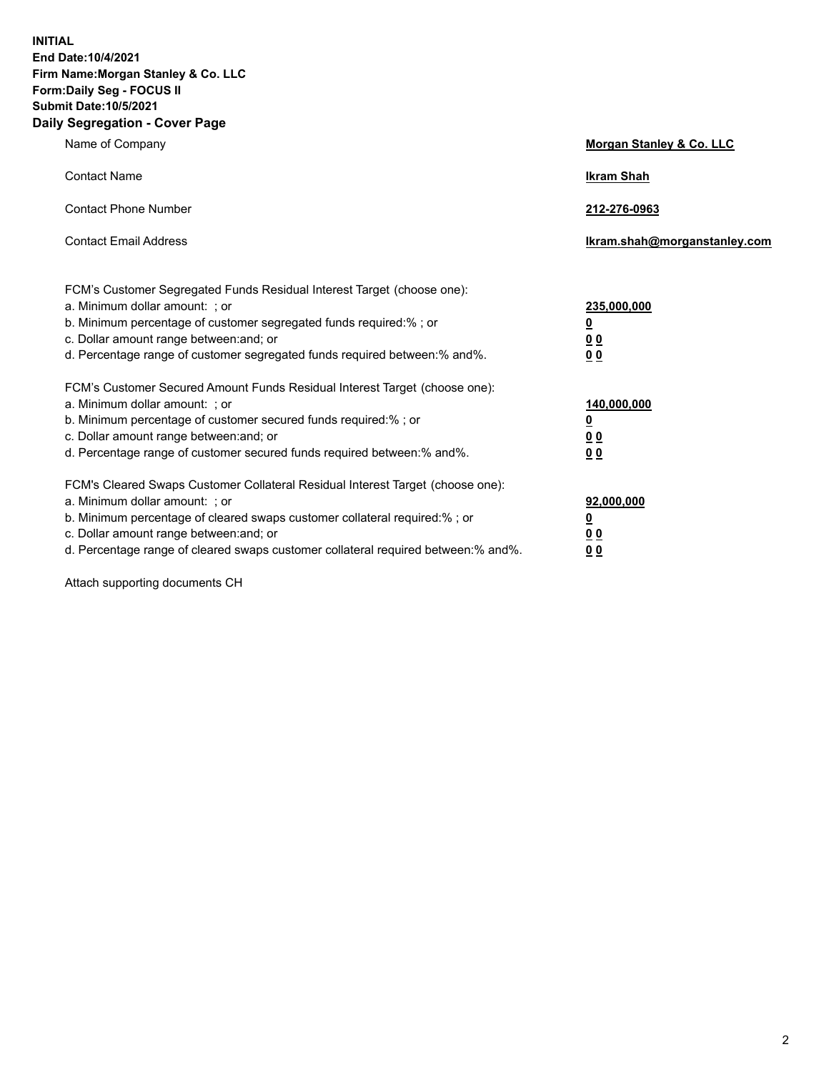**INITIAL End Date:10/4/2021 Firm Name:Morgan Stanley & Co. LLC Form:Daily Seg - FOCUS II Submit Date:10/5/2021 Daily Segregation - Cover Page**

| Name of Company                                                                                                                                                                                                                                                                                                                | Morgan Stanley & Co. LLC                               |
|--------------------------------------------------------------------------------------------------------------------------------------------------------------------------------------------------------------------------------------------------------------------------------------------------------------------------------|--------------------------------------------------------|
| <b>Contact Name</b>                                                                                                                                                                                                                                                                                                            | <b>Ikram Shah</b>                                      |
| <b>Contact Phone Number</b>                                                                                                                                                                                                                                                                                                    | 212-276-0963                                           |
| <b>Contact Email Address</b>                                                                                                                                                                                                                                                                                                   | Ikram.shah@morganstanley.com                           |
| FCM's Customer Segregated Funds Residual Interest Target (choose one):<br>a. Minimum dollar amount: ; or<br>b. Minimum percentage of customer segregated funds required:% ; or<br>c. Dollar amount range between: and; or<br>d. Percentage range of customer segregated funds required between:% and%.                         | 235,000,000<br><u>0</u><br>0 <sup>0</sup><br><u>00</u> |
| FCM's Customer Secured Amount Funds Residual Interest Target (choose one):<br>a. Minimum dollar amount: ; or<br>b. Minimum percentage of customer secured funds required:% ; or<br>c. Dollar amount range between: and; or<br>d. Percentage range of customer secured funds required between:% and%.                           | 140,000,000<br><u>0</u><br><u>00</u><br>00             |
| FCM's Cleared Swaps Customer Collateral Residual Interest Target (choose one):<br>a. Minimum dollar amount: ; or<br>b. Minimum percentage of cleared swaps customer collateral required:% ; or<br>c. Dollar amount range between: and; or<br>d. Percentage range of cleared swaps customer collateral required between:% and%. | 92,000,000<br><u>0</u><br><u>00</u><br>00              |

Attach supporting documents CH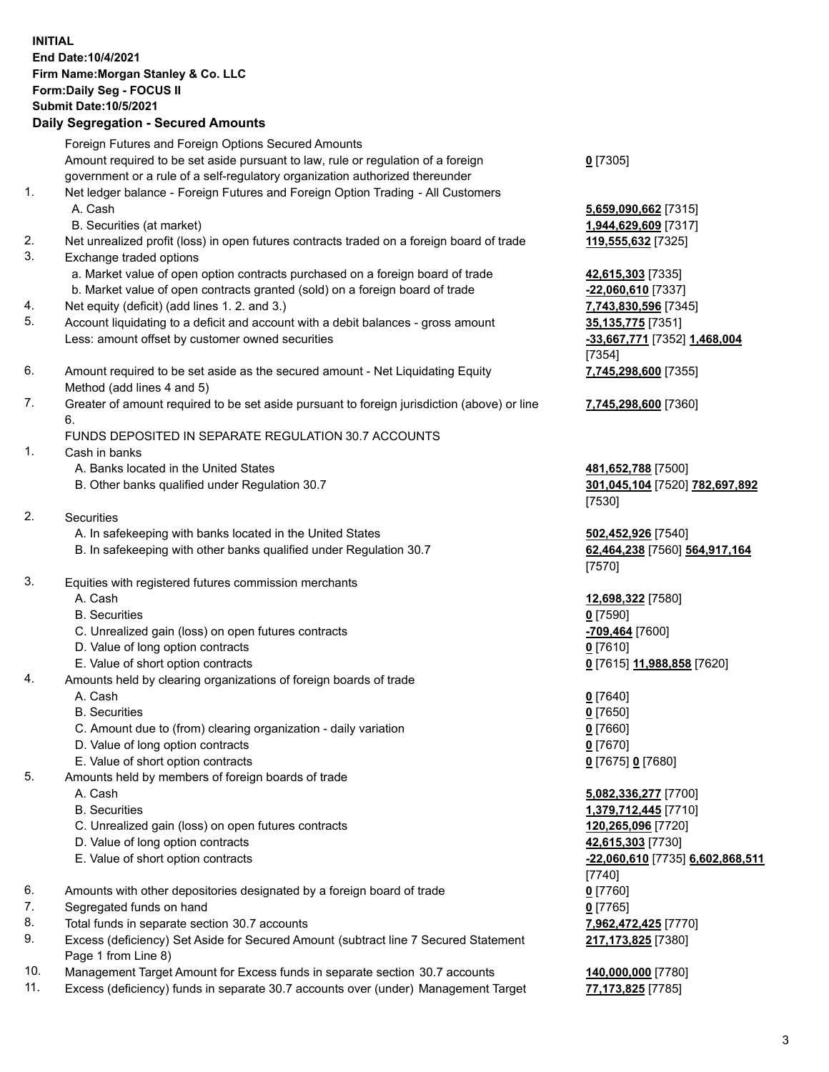# **INITIAL End Date:10/4/2021 Firm Name:Morgan Stanley & Co. LLC Form:Daily Seg - FOCUS II Submit Date:10/5/2021**

## **Daily Segregation - Secured Amounts**

Foreign Futures and Foreign Options Secured Amounts Amount required to be set aside pursuant to law, rule or regulation of a foreign government or a rule of a self-regulatory organization authorized thereunder 1. Net ledger balance - Foreign Futures and Foreign Option Trading - All Customers A. Cash **5,659,090,662** [7315] B. Securities (at market) **1,944,629,609** [7317] 2. Net unrealized profit (loss) in open futures contracts traded on a foreign board of trade **119,555,632** [7325] 3. Exchange traded options a. Market value of open option contracts purchased on a foreign board of trade **42,615,303** [7335] b. Market value of open contracts granted (sold) on a foreign board of trade **-22,060,610** [7337] 4. Net equity (deficit) (add lines 1. 2. and 3.) **7,743,830,596** [7345] 5. Account liquidating to a deficit and account with a debit balances - gross amount **35,135,775** [7351] Less: amount offset by customer owned securities **-33,667,771** [7352] **1,468,004** 6. Amount required to be set aside as the secured amount - Net Liquidating Equity Method (add lines 4 and 5)

7. Greater of amount required to be set aside pursuant to foreign jurisdiction (above) or line 6.

## FUNDS DEPOSITED IN SEPARATE REGULATION 30.7 ACCOUNTS

- 1. Cash in banks
	- A. Banks located in the United States **481,652,788** [7500]
	- B. Other banks qualified under Regulation 30.7 **301,045,104** [7520] **782,697,892**
- 2. Securities
	- A. In safekeeping with banks located in the United States **502,452,926** [7540]
	- B. In safekeeping with other banks qualified under Regulation 30.7 **62,464,238** [7560] **564,917,164**
- 3. Equities with registered futures commission merchants
	-
	- B. Securities **0** [7590]
	- C. Unrealized gain (loss) on open futures contracts **-709,464** [7600]
	- D. Value of long option contracts **0** [7610]
	- E. Value of short option contracts **0** [7615] **11,988,858** [7620]
- 4. Amounts held by clearing organizations of foreign boards of trade
	-
	- B. Securities **0** [7650]
	- C. Amount due to (from) clearing organization daily variation **0** [7660]
	- D. Value of long option contracts **0** [7670]
	- E. Value of short option contracts **0** [7675] **0** [7680]
- 5. Amounts held by members of foreign boards of trade
	-
	-
	- C. Unrealized gain (loss) on open futures contracts **120,265,096** [7720]
	- D. Value of long option contracts **42,615,303** [7730]
	-
- 6. Amounts with other depositories designated by a foreign board of trade **0** [7760]
- 7. Segregated funds on hand **0** [7765]
- 8. Total funds in separate section 30.7 accounts **7,962,472,425** [7770]
- 9. Excess (deficiency) Set Aside for Secured Amount (subtract line 7 Secured Statement Page 1 from Line 8)
- 10. Management Target Amount for Excess funds in separate section 30.7 accounts **140,000,000** [7780]
- 11. Excess (deficiency) funds in separate 30.7 accounts over (under) Management Target **77,173,825** [7785]

**0** [7305]

[7354] **7,745,298,600** [7355]

**7,745,298,600** [7360]

[7530]

[7570]

A. Cash **12,698,322** [7580]

A. Cash **0** [7640]

 A. Cash **5,082,336,277** [7700] B. Securities **1,379,712,445** [7710] E. Value of short option contracts **-22,060,610** [7735] **6,602,868,511** [7740] **217,173,825** [7380]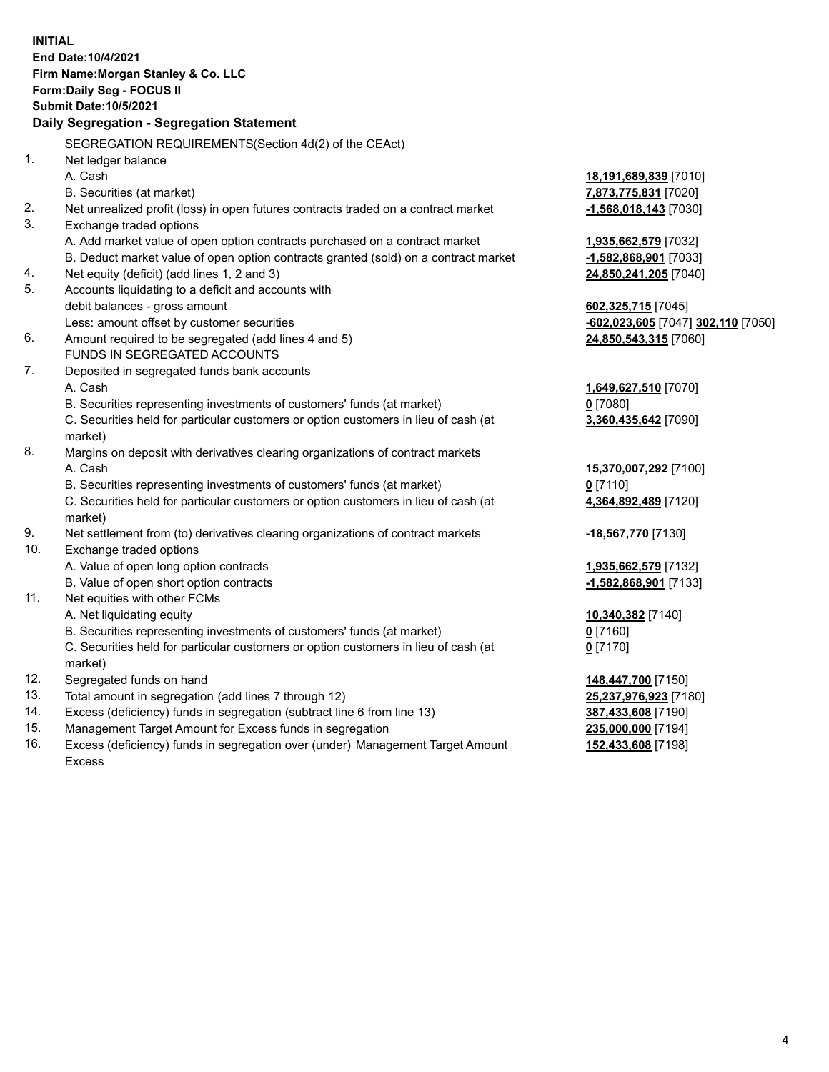**INITIAL End Date:10/4/2021 Firm Name:Morgan Stanley & Co. LLC Form:Daily Seg - FOCUS II Submit Date:10/5/2021 Daily Segregation - Segregation Statement** SEGREGATION REQUIREMENTS(Section 4d(2) of the CEAct) 1. Net ledger balance A. Cash **18,191,689,839** [7010] B. Securities (at market) **7,873,775,831** [7020] 2. Net unrealized profit (loss) in open futures contracts traded on a contract market **-1,568,018,143** [7030] 3. Exchange traded options A. Add market value of open option contracts purchased on a contract market **1,935,662,579** [7032] B. Deduct market value of open option contracts granted (sold) on a contract market **-1,582,868,901** [7033] 4. Net equity (deficit) (add lines 1, 2 and 3) **24,850,241,205** [7040] 5. Accounts liquidating to a deficit and accounts with debit balances - gross amount **602,325,715** [7045] Less: amount offset by customer securities **-602,023,605** [7047] **302,110** [7050] 6. Amount required to be segregated (add lines 4 and 5) **24,850,543,315** [7060] FUNDS IN SEGREGATED ACCOUNTS 7. Deposited in segregated funds bank accounts A. Cash **1,649,627,510** [7070] B. Securities representing investments of customers' funds (at market) **0** [7080] C. Securities held for particular customers or option customers in lieu of cash (at market) **3,360,435,642** [7090] 8. Margins on deposit with derivatives clearing organizations of contract markets A. Cash **15,370,007,292** [7100] B. Securities representing investments of customers' funds (at market) **0** [7110] C. Securities held for particular customers or option customers in lieu of cash (at market) **4,364,892,489** [7120] 9. Net settlement from (to) derivatives clearing organizations of contract markets **-18,567,770** [7130] 10. Exchange traded options A. Value of open long option contracts **1,935,662,579** [7132] B. Value of open short option contracts **-1,582,868,901** [7133] 11. Net equities with other FCMs A. Net liquidating equity **10,340,382** [7140] B. Securities representing investments of customers' funds (at market) **0** [7160] C. Securities held for particular customers or option customers in lieu of cash (at market) **0** [7170] 12. Segregated funds on hand **148,447,700** [7150] 13. Total amount in segregation (add lines 7 through 12) **25,237,976,923** [7180] 14. Excess (deficiency) funds in segregation (subtract line 6 from line 13) **387,433,608** [7190] 15. Management Target Amount for Excess funds in segregation **235,000,000** [7194]

16. Excess (deficiency) funds in segregation over (under) Management Target Amount Excess

**152,433,608** [7198]